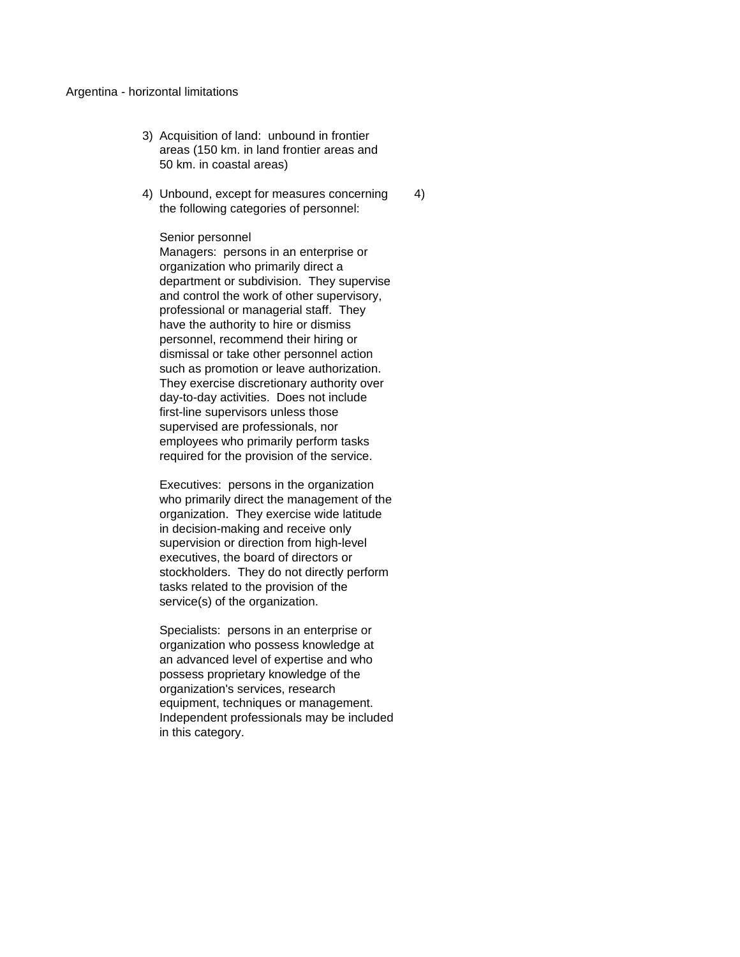## Argentina - horizontal limitations

- 3) Acquisition of land: unbound in frontier areas (150 km. in land frontier areas and 50 km. in coastal areas)
- 4) Unbound, except for measures concerning 4) the following categories of personnel:

## Senior personnel

Managers: persons in an enterprise or organization who primarily direct a department or subdivision. They supervise and control the work of other supervisory, professional or managerial staff. They have the authority to hire or dismiss personnel, recommend their hiring or dismissal or take other personnel action such as promotion or leave authorization. They exercise discretionary authority over day-to-day activities. Does not include first-line supervisors unless those supervised are professionals, nor employees who primarily perform tasks required for the provision of the service.

Executives: persons in the organization who primarily direct the management of the organization. They exercise wide latitude in decision-making and receive only supervision or direction from high-level executives, the board of directors or stockholders. They do not directly perform tasks related to the provision of the service(s) of the organization.

Specialists: persons in an enterprise or organization who possess knowledge at an advanced level of expertise and who possess proprietary knowledge of the organization's services, research equipment, techniques or management. Independent professionals may be included in this category.